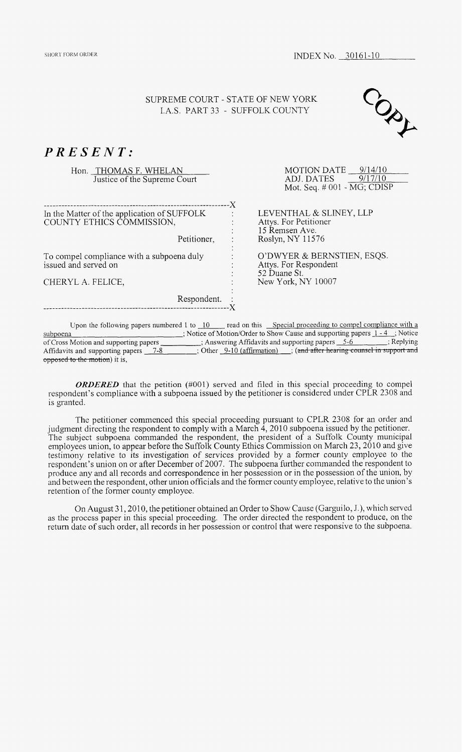## *PRESENT:*

Hon. THOMAS F. WHELAN Justice of the Supreme Court

\_\_\_\_\_\_\_\_\_\_\_\_\_\_\_\_\_\_\_\_\_\_\_\_\_\_\_\_\_\_\_\_\_\_\_\_\_\_\_\_----------------\_------ X In the Matter of the application of SUFFOLK COUNTY ETHICS COMMISSION,

Petitioner, :

To compel compliance with a subpoena duly issued and served on

CHERYL **A.** FELICE,

Respondent. :

MOTION DATE 9/14/10 ADJ. DATES 9/17/10 Mot. Seq. # 001 - MG; CDISP

LEVENTHAL & SLINEY, LLP Attys. For Petitioner 15 Remsen Ave. Roslyn, NY 11576

O'DWYER & BERNSTIEN, ESQS. Attys. For Respondent 52 Duane St. New York, *NY* 10007

Upon the following papers numbered 1 to  $10$  read on this Special proceeding to compel compliance with a subpoena ; Notice of Motion/Order to Show Cause and supporting papers 1-4 ; Notice of Cross Motion and supporting papers \_\_\_\_\_\_\_\_; Answering Affidavits and supporting papers \_5-6 ; Replying ; Replying opposed to the motion) it is, Affidavits and supporting SUPREME COURT - STATE OF NEW YORK<br>
LAS. PART 33 - SUFFOLK COUNTY<br>  $\frac{MS}{B}$  F. WHELAN<br>
The Supreme Court<br>  $\frac{MS}{B}$  F. WHELAN<br>
DOMISSION,<br>  $\frac{MS}{B}$  F. ONTIGATION (SUPPRIMALLACTION)<br>  $\frac{MS}{B}$  FOR THE COURT (DISP)<br>  $\frac{MS}{$ 

*ORDERED* that the petition (#001) served and filed in this special proceeding to compel respondent's compliance with a subpoena issued by the petitioner is considered under CPLR 2308 and is granted.

The petitioner commenced this special proceeding pursuant to CPLR 2308 for an order and judgment directing the respondent to comply with a March  $4$ , 2010 subpoena issued by the petitioner. The subject subpoena commanded the respondent, the president of a Suffolk County municipal employees union, to appear before the Suffolk County Ethics Commission on March 23,2010 and give testimony relative to its investigation of services provided by a former county employee to the respondent's union on or after December of 2007. The subpoena further commanded the respondent to produce any and all records and correspondence in her possession or in the possession of the union, by and between the respondent, other union officials and the former county employee, relative to the union's retention of the former county employee.

On August 31, 2010, the petitioner obtained an Order to Show Cause (Garguilo, J.), which served as the process paper in this special proceeding. The order directed the respondent to produce, on the return date of such order, all records in her possession or controI that were responsive to the subpoena.

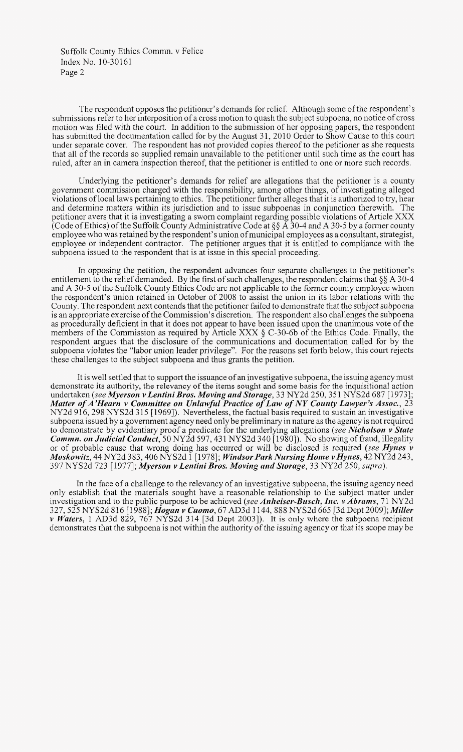The respondent opposes the petitioner's demands for relief. Although some of the respondent's submissions refer to her interposition of a cross motion to quash the subject subpoena, no notice of cross motion was filed with the court. In addition to the submission of her opposing papers, the respondent has submitted the documentation called for by the August 31, 2010 Order to Show Cause to this court under separate cover. The respondent has not provided copies thereof to the petitioner as she requests that all of the records so supplied remain unavailable to the petitioner until such time as the court has ruled, after an in camera inspection thereof, that the petitioner is entitled to one or more such records.

Underlying the petitioner's demands for relief are allegations that the petitioner is a county government commission charged with the responsibility, among other things, of investigating alleged violations of local laws pertaining to ethics. The petitioner further alleges that it is authorized to try, hear and determine matters within its jurisdiction and to issue subpoenas in conjunction therewith. The petitioner avers that it is investigating a sworn complaint regarding possible violations of Article XXX (Code of Ethics) of the Suffolk County Administrative Code at  $\S$  $\AA$  30-4 and A 30-5 by a former county employee who was retained by the respondent's union of municipal employees as a consultant, strategist, employee or independent contractor. The petitioner argues that it is entitled to compliance with the subpoena issued to the respondent that is at issue in this special proceeding.

In opposing the petition, the respondent advances four separate challenges to the petitioner's entitlement to the relief demanded. By the first of such challenges, the respondent claims that *\$5* A 30-4 and **A** 30-5 of the Suffolk County Ethics Code are not applicable to the former county employee whom the respondent's union retained in October of 2008 to assist the union in its labor relations with the County. The respondent next contends that the petitioner failed to demonstrate that the subject subpoena is an appropriate exercise of the Commission's discretion. The respondent also challenges the subpoena as procedurally deficient in that it does not appear to have been issued upon the unanimous vote of the members of the Commission as required by Article XXX  $\S$  C-30-6b of the Ethics Code. Finally, the respondent argues that the disclosure of the communications and documentation called for by the subpoena violates the "labor union leader privilege". For the reasons set forth below, this court rejects these challenges to the subject subpoena and thus grants the petition.

It is well settled that to support the issuance of an investigative subpoena, the issuing agency must demonstrate its authority, the relevancy of the items sought and some basis for the inquisitional action undertaken *(see Myersoiz v Lentini Bros. Moving and Storage,* 33 NY2d 250,35 1 NYS2d 687 [ 19731; *Matter* of *A'Hearn v Committee on Unlawful Practice of Law of NY County Lawyer's Assoc.,* 23 NY2d 916, 298 NYS2d 315 [1969]). Nevertheless, the factual basis required to sustain an investigative subpoena issued by a government agency need only be preliminary in nature as the agency is not required to demonstrate by evidentiary proof a predicate for the underlying allegations (see Nicholson v State *Commn. on Judicial Conduct,* 50 NY2d 597, 431 NYS2d 340 [1980]). No showing of fraud, illegality or of probable cause that wrong doing has occurred or will be disclosed is required *(see Hynes v Moskowitz,* 44 NY2d 383,406 NYS2d 1 [ 19781; *Windsor Park Nursing Home u Hynes,* 42 NY2d 243, 397 NYS2d 723 [ 19771; *Myerson v Leiztiizi Bros. Moving and Storage,* 33 NY2d 250, *supuzl.).* 

In the face of a challenge to the relevancy of an investigative subpoena, the issuing agency need only establish that the materials sought have a reasonable relationship to the subject matter under investigation and to the public purpose to be achieved *(see Anheiser-Busch, Inc. v Abrams*, 71 NY2d 327,525 NYS2d 816 [ 19881; *Hogan v Cuomo,* 67 AD3d 1144,888 NYS2d 665 [3dDept 20091; *Miller v Waters*, 1 AD3d 829, 767 NYS2d 314 [3d Dept 2003]). It is only where the subpoena recipient demonstrates that the subpoena is not within the authority of the issuing agency or that its scope may be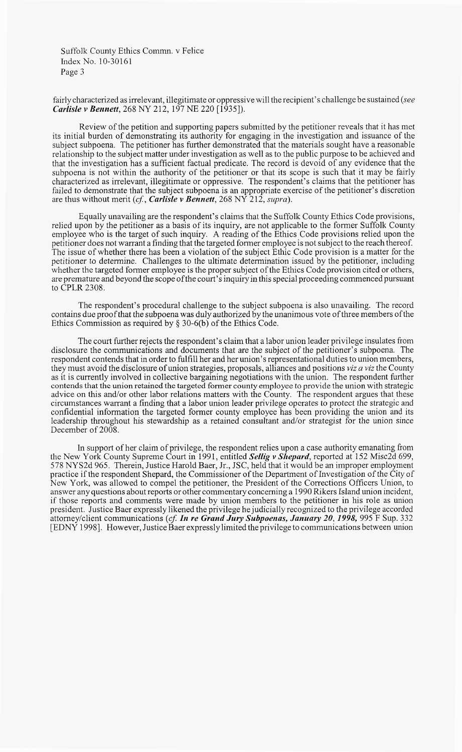fairly characterized as irrelevant, illegitimate or oppressive will the recipient's challenge be sustained *(see Carlisle v Bennett, 268 NY 212, 197 NE 220 [1935]).* 

Review of the petition and supporting papers submitted by the petitioner reveals that it has met its initial burden of demonstrating its authority for engaging in the investigation and issuance of the subject subpoena. The petitioner has further demonstrated that the materials sought have a reasonable relationship to the subject matter under investigation as well as to the public purpose to be achieved and that the investigation has a sufficient factual predicate. The record is devoid of any evidence that the subpoena is not within the authority of the petitioner or that its scope is such that it may be fairly characterized as irrelevant, illegitimate or oppressive. The respondent's claims that the petitioner has failed to demonstrate that the subject subpoena is an appropriate exercise of the petitioner's discretion are thus without merit *(cf, Carlisle* v *Bennett,* 268 *NY* 212, *supra).* 

Equally unavailing are the respondent's claims that the Suffolk County Ethics Code provisions, relied upon by the petitioner as a basis of its inquiry, are not applicable to the former Suffolk County employee who is the target of such inquiry. **A** reading of the Ethics Code provisions relied upon the petitioner does not warrant a finding that the targeted former employee is not subject to the reach thereof. The issue of whether there has been a violation of the subject Ethic Code provision is a matter for the petitioner to determine. Challenges to the ultimate determination issued by the petitioner, including whether the targeted former employee is the proper subject of the Ethics Code provision cited or others, are premature and beyond the scope of the court's inquiry in this special proceeding commenced pursuant to CPLR 2308.

The respondent's procedural challenge to the subject subpoena is also unavailing. The record contains due proof that the subpoena was duly authorized by the unanimous vote of three members of the Ethics Commission as required by **9** 30-6(b) of the Ethics Code.

The court further rejects the respondent's claim that a labor union leader privilege insulates from disclosure the communications and documents that are the subject of the petitioner's subpoena. The respondent contends that in order to fulfill her and her union's representational duties to union members, they must avoid the disclosure of union strategies, proposals, alliances and positions *viz a viz* the County as it is currently involved in collective bargaining negotiations with the union. The respondent further contends that the union retained the targeted former county employee to provide the union with strategic advice on this and/or other labor relations matters with the County. The respondent argues that these circumstances warrant a finding that a labor union leader privilege operates to protect the strategic and confidential information the targeted former county employee has been providing the union and its leadership throughout his stewardship as a retained consultant and/or strategist for the union since December of 2008.

In support of her claim of privilege, the respondent relies upon a case authority emanating from the New York County Supreme Court in 1991, entitled *Sellig v Shepard*, reported at 152 Misc2d 699, 578 NYS2d 965. Therein, Justice Harold Baer, Jr., JSC, held that it would be an improper employment practice if the respondent Shepard, the Commissioner of the Department of Investigation of the City of New York, was allowed to compel the petitioner, the President of the Corrections Officers Union, to answer any questions about reports or other commentary concerning a 1990 Rikers Island union incident, if those reports and comments were made by union members to the petitioner in his role as union president. Justice Baer expressly likened the privilege he judicially recognized to the privilege accorded attorney/client communications (cf. In re Grand Jury Subpoenas, January 20, 1998, 995 F Sup. 332 [EDNY 15,981. However, Justice Baer expressly limited the privilege to communications between union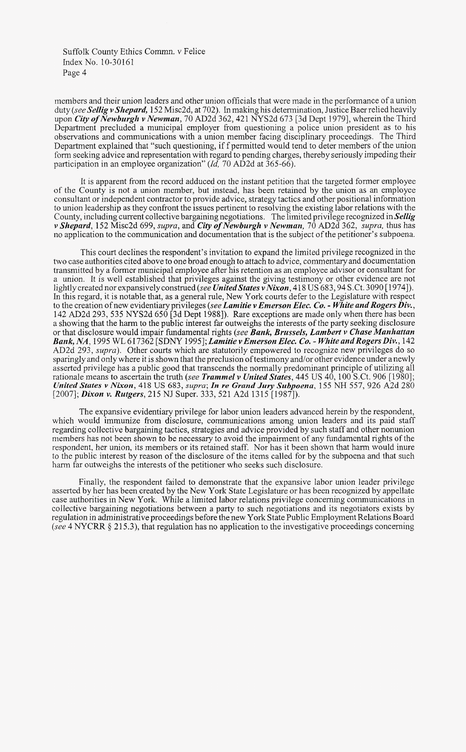members and their union leaders and other union officials that were made in the performance of a union duty *(see* Sellig v Shepard, 152 Misc2d, at 702). In making his determination, Justice Baer relied heavily upon *City of Newburgh v Newman*, 70 AD2d 362, 421 NYS2d 673 [3d Dept 1979], wherein the Third Department precluded a municipal employer from questioning a police union president as to his observations and communications with a union member facing disciplinary proceedings. The Third Department explained that "such questioning, iff permitted would tend to deter members of the union form seeking advice and representation with regard to pending charges, thereby seriously impeding their participation in an employee organization" *(Id, 70 AD2d at 365-66)*.

It is apparent from the record adduced on the instant petition that the targeted former employee of the County is not a union member, but instead, has been retained by the union as an employee consultant or independent contractor to provide advice, strategy tactics and other positional information to union leadership as they confront the issues pertinent to resolving the existing labor relations with the County, including current collective bargaining negotiations. The limited privilege recognized in Sellig v Shepard, 152 Misc2d 699, *supra,* and **City** *of* Newburgh *v* Newman, 70 AD2d 362, *supra,* thus has no application to the communication and documentation that is the subject of the petitioner's subpoena.

This court declines the respondent's invitation to expand the limited privilege recognized in the two case authorities cited above to one broad enough to attach to advice, commentary and documentation transmitted by a former municipal employee after his retention as an employee advisor or consultant for a union. It is well established that privileges against the giving testimony or other evidence are not lightly created nor expansively construed (see United States v Nixon, 418 US 683, 94 S.Ct. 3090 [1974]). In this regard, it is notable that, as a general rule, New York courts defer to the Legislature with respect to the creation of new evidentiary privileges *(see* Lamitie v Emerson Elec. *Co.* - White and Rogers *Div.,*  142 AD2d 293, 535 NYS2d 650 [3d Dept 19881). Rare exceptions are made only when there has been a showing that the harm to the public interest far outweighs the interests of the party seeking disclosure or that disclosure would impair fundamental rights (see **Bank, Brussels, Lambert v Chase Manhattan** *Bank, NA.* 1995 WL 617362 [SDNY 1995]; *Lamitie v Emerson Elec. Co. - White and Rogers Div.*, 142 AD2d 293, *supra).* Other courts which are statutorily empowered to recognize new privileges do so sparingly and only where it is shown that the preclusion of testimony and/or other evidence under anewly asserted privilege has a public good that transcends the normally predominant principle of utilizing all rationale means to ascertain the truth *(see* Trammel v United States, 445 US 40, 100 S.Ct. 906 [1980]; *United Strites v Nixon,* 418 US *683, supra; In re Grand Jury Subpoena,* 155 **NH** 557, 926 A2d 280 [2007]; *Dixon v. Rutgers*, 215 NJ Super. 333, 521 A2d 1315 [1987]).

The expansive evidentiary privilege for labor union leaders advanced herein by the respondent, which would immunize from disclosure, communications among union leaders and its paid staff regarding collective bargaining tactics, strategies and advice provided by such staff and other nonunion members has not been shown to be necessary to avoid the impairment of any fundamental rights of the respondent, her union, its members or its retained staff. Nor has it been shown that harm would inure to the public interest by reason of the disclosure of the items called for by the subpoena and that such harm far outweighs the interests of the petitioner who seeks such disclosure.

Finally, the respondent failed to demonstrate that the expansive labor union leader privilege asserted by her has been created by the New York State Legislature or has been recognized by appellate case authorities in New York. While a limited labor relations privilege concerning communications in collective bargaining negotiations between a party to such negotiations and its negotiators exists by regulation in administrative proceedings before the new York State Public Employment Relations Board *(see* 4 *NYCRR* @ 2 15.3), that regulation has no application to the investigative proceedings concerning